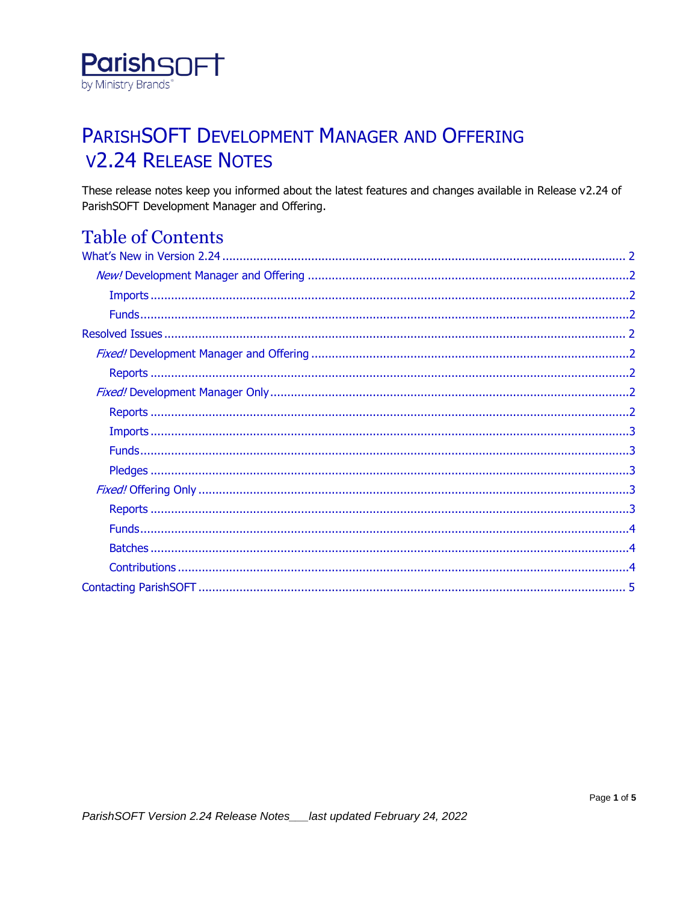

## PARISHSOFT DEVELOPMENT MANAGER AND OFFERING **V2.24 RELEASE NOTES**

These release notes keep you informed about the latest features and changes available in Release v2.24 of ParishSOFT Development Manager and Offering.

## **Table of Contents**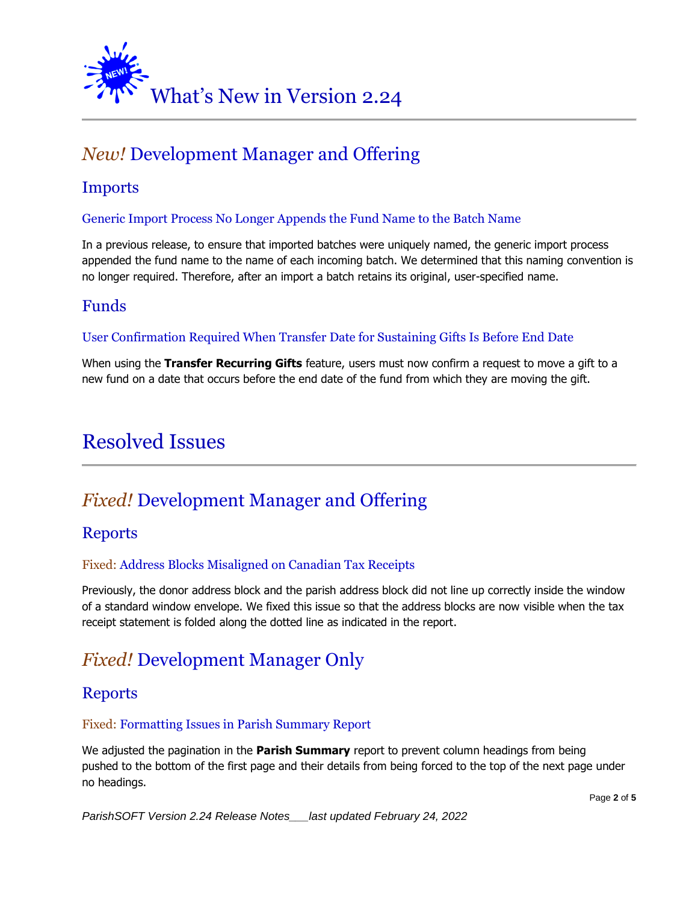<span id="page-1-0"></span>

## <span id="page-1-1"></span>*New!* Development Manager and Offering

## <span id="page-1-2"></span>**Imports**

#### Generic Import Process No Longer Appends the Fund Name to the Batch Name

In a previous release, to ensure that imported batches were uniquely named, the generic import process appended the fund name to the name of each incoming batch. We determined that this naming convention is no longer required. Therefore, after an import a batch retains its original, user-specified name.

### <span id="page-1-3"></span>Funds

#### User Confirmation Required When Transfer Date for Sustaining Gifts Is Before End Date

When using the **Transfer Recurring Gifts** feature, users must now confirm a request to move a gift to a new fund on a date that occurs before the end date of the fund from which they are moving the gift.

## <span id="page-1-4"></span>Resolved Issues

## <span id="page-1-5"></span>*Fixed!* Development Manager and Offering

### <span id="page-1-6"></span>Reports

#### Fixed: Address Blocks Misaligned on Canadian Tax Receipts

Previously, the donor address block and the parish address block did not line up correctly inside the window of a standard window envelope. We fixed this issue so that the address blocks are now visible when the tax receipt statement is folded along the dotted line as indicated in the report.

## <span id="page-1-7"></span>*Fixed!* Development Manager Only

### <span id="page-1-8"></span>Reports

#### Fixed: Formatting Issues in Parish Summary Report

We adjusted the pagination in the **Parish Summary** report to prevent column headings from being pushed to the bottom of the first page and their details from being forced to the top of the next page under no headings.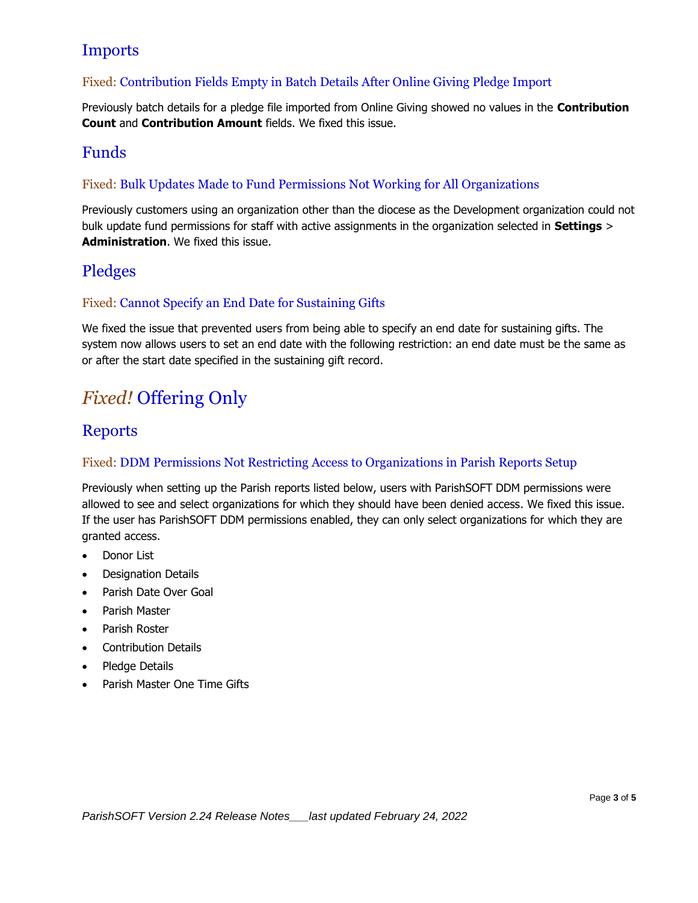## <span id="page-2-0"></span>Imports

#### Fixed: Contribution Fields Empty in Batch Details After Online Giving Pledge Import

Previously batch details for a pledge file imported from Online Giving showed no values in the **Contribution Count** and **Contribution Amount** fields. We fixed this issue.

### <span id="page-2-1"></span>Funds

#### Fixed: Bulk Updates Made to Fund Permissions Not Working for All Organizations

Previously customers using an organization other than the diocese as the Development organization could not bulk update fund permissions for staff with active assignments in the organization selected in **Settings** > **Administration**. We fixed this issue.

## <span id="page-2-2"></span>Pledges

#### Fixed: Cannot Specify an End Date for Sustaining Gifts

We fixed the issue that prevented users from being able to specify an end date for sustaining gifts. The system now allows users to set an end date with the following restriction: an end date must be the same as or after the start date specified in the sustaining gift record.

## <span id="page-2-3"></span>*Fixed!* Offering Only

### <span id="page-2-4"></span>Reports

#### Fixed: DDM Permissions Not Restricting Access to Organizations in Parish Reports Setup

Previously when setting up the Parish reports listed below, users with ParishSOFT DDM permissions were allowed to see and select organizations for which they should have been denied access. We fixed this issue. If the user has ParishSOFT DDM permissions enabled, they can only select organizations for which they are granted access.

- Donor List
- Designation Details
- Parish Date Over Goal
- Parish Master
- Parish Roster
- Contribution Details
- Pledge Details
- Parish Master One Time Gifts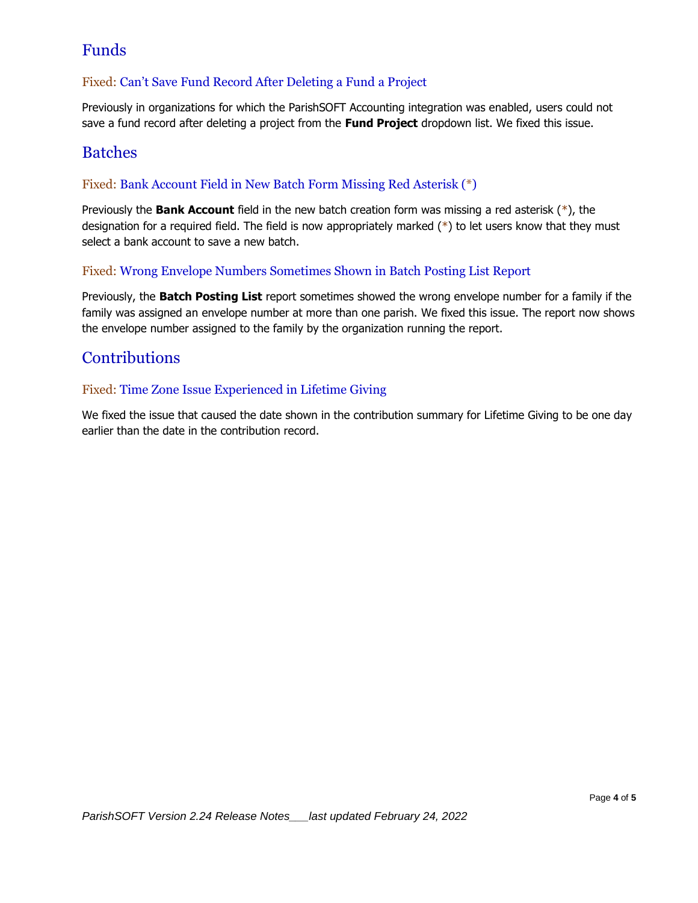## <span id="page-3-0"></span>Funds

#### Fixed: Can't Save Fund Record After Deleting a Fund a Project

Previously in organizations for which the ParishSOFT Accounting integration was enabled, users could not save a fund record after deleting a project from the **Fund Project** dropdown list. We fixed this issue.

### <span id="page-3-1"></span>Batches

#### Fixed: Bank Account Field in New Batch Form Missing Red Asterisk (\*)

Previously the **Bank Account** field in the new batch creation form was missing a red asterisk (\*), the designation for a required field. The field is now appropriately marked (\*) to let users know that they must select a bank account to save a new batch.

#### Fixed: Wrong Envelope Numbers Sometimes Shown in Batch Posting List Report

Previously, the **Batch Posting List** report sometimes showed the wrong envelope number for a family if the family was assigned an envelope number at more than one parish. We fixed this issue. The report now shows the envelope number assigned to the family by the organization running the report.

### <span id="page-3-2"></span>**Contributions**

#### Fixed: Time Zone Issue Experienced in Lifetime Giving

We fixed the issue that caused the date shown in the contribution summary for Lifetime Giving to be one day earlier than the date in the contribution record.